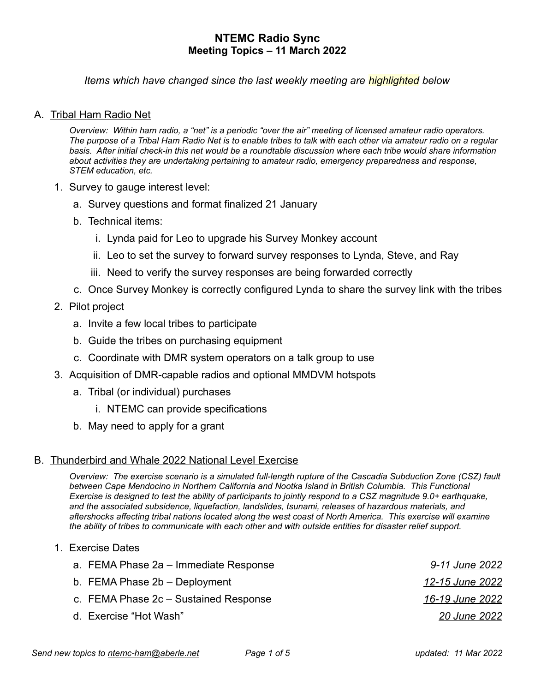*Items which have changed since the last weekly meeting are highlighted below*

## A. Tribal Ham Radio Net

*Overview: Within ham radio, a "net" is a periodic "over the air" meeting of licensed amateur radio operators. The purpose of a Tribal Ham Radio Net is to enable tribes to talk with each other via amateur radio on a regular*  basis. After initial check-in this net would be a roundtable discussion where each tribe would share information *about activities they are undertaking pertaining to amateur radio, emergency preparedness and response, STEM education, etc.*

- 1. Survey to gauge interest level:
	- a. Survey questions and format finalized 21 January
	- b. Technical items:
		- i. Lynda paid for Leo to upgrade his Survey Monkey account
		- ii. Leo to set the survey to forward survey responses to Lynda, Steve, and Ray
		- iii. Need to verify the survey responses are being forwarded correctly
	- c. Once Survey Monkey is correctly configured Lynda to share the survey link with the tribes
- 2. Pilot project
	- a. Invite a few local tribes to participate
	- b. Guide the tribes on purchasing equipment
	- c. Coordinate with DMR system operators on a talk group to use
- 3. Acquisition of DMR-capable radios and optional MMDVM hotspots
	- a. Tribal (or individual) purchases
		- i. NTEMC can provide specifications
	- b. May need to apply for a grant

#### B. Thunderbird and Whale 2022 National Level Exercise

*Overview: The exercise scenario is a simulated full-length rupture of the Cascadia Subduction Zone (CSZ) fault* between Cape Mendocino in Northern California and Nootka Island in British Columbia. This Functional *Exercise is designed to test the ability of participants to jointly respond to a CSZ magnitude 9.0+ earthquake, and the associated subsidence, liquefaction, landslides, tsunami, releases of hazardous materials, and aftershocks affecting tribal nations located along the west coast of North America. This exercise will examine the ability of tribes to communicate with each other and with outside entities for disaster relief support.*

| 1. Exercise Dates                     |                 |
|---------------------------------------|-----------------|
| a. FEMA Phase 2a – Immediate Response | 9-11 June 2022  |
| b. FEMA Phase 2b - Deployment         | 12-15 June 2022 |
| c. FEMA Phase 2c – Sustained Response | 16-19 June 2022 |
| d. Exercise "Hot Wash"                | 20 June 2022    |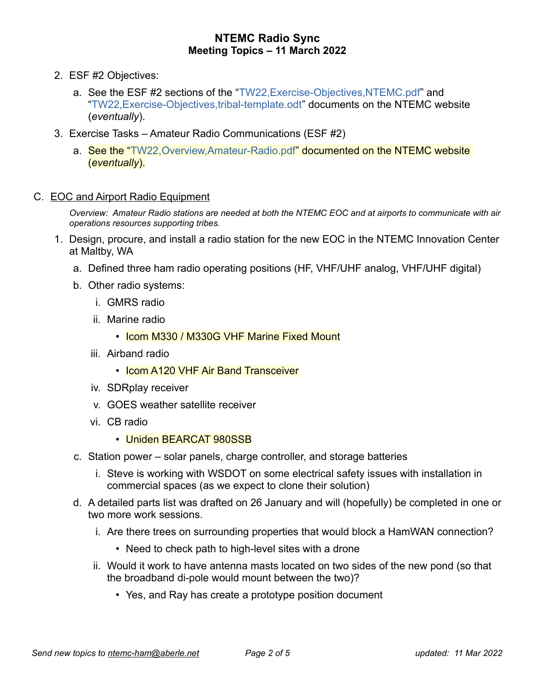- 2. ESF #2 Objectives:
	- a. See the ESF #2 sections of the "TW22,Exercise-Objectives,NTEMC.pdf" and "TW22,Exercise-Objectives,tribal-template.odt" documents on the NTEMC website (*eventually*).
- 3. Exercise Tasks Amateur Radio Communications (ESF #2)
	- a. See the "TW22, Overview, Amateur-Radio.pdf" documented on the NTEMC website (*eventually*).
- C. EOC and Airport Radio Equipment

*Overview: Amateur Radio stations are needed at both the NTEMC EOC and at airports to communicate with air operations resources supporting tribes.*

- 1. Design, procure, and install a radio station for the new EOC in the NTEMC Innovation Center at Maltby, WA
	- a. Defined three ham radio operating positions (HF, VHF/UHF analog, VHF/UHF digital)
	- b. Other radio systems:
		- i. GMRS radio
		- ii. Marine radio
			- Icom M330 / M330G VHF Marine Fixed Mount
		- iii. Airband radio
			- Icom A120 VHF Air Band Transceiver
		- iv. SDRplay receiver
		- v. GOES weather satellite receiver
		- vi. CB radio
			- Uniden BEARCAT 980SSB
	- c. Station power solar panels, charge controller, and storage batteries
		- i. Steve is working with WSDOT on some electrical safety issues with installation in commercial spaces (as we expect to clone their solution)
	- d. A detailed parts list was drafted on 26 January and will (hopefully) be completed in one or two more work sessions.
		- i. Are there trees on surrounding properties that would block a HamWAN connection?
			- Need to check path to high-level sites with a drone
		- ii. Would it work to have antenna masts located on two sides of the new pond (so that the broadband di-pole would mount between the two)?
			- Yes, and Ray has create a prototype position document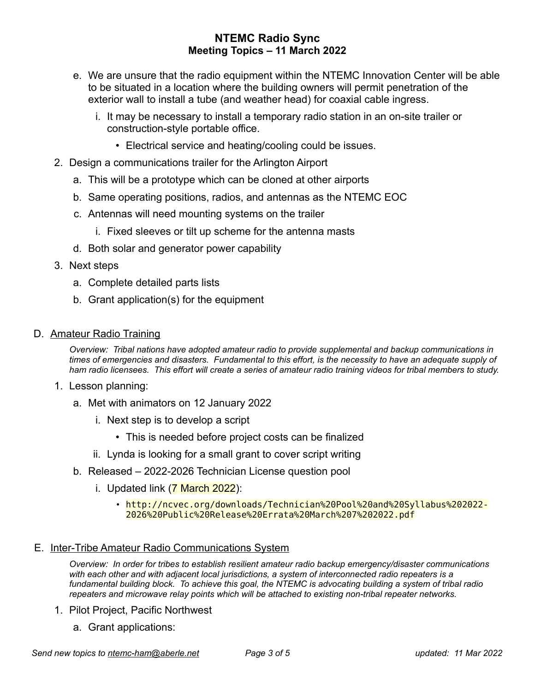- e. We are unsure that the radio equipment within the NTEMC Innovation Center will be able to be situated in a location where the building owners will permit penetration of the exterior wall to install a tube (and weather head) for coaxial cable ingress.
	- i. It may be necessary to install a temporary radio station in an on-site trailer or construction-style portable office.
		- Electrical service and heating/cooling could be issues.
- 2. Design a communications trailer for the Arlington Airport
	- a. This will be a prototype which can be cloned at other airports
	- b. Same operating positions, radios, and antennas as the NTEMC EOC
	- c. Antennas will need mounting systems on the trailer
		- i. Fixed sleeves or tilt up scheme for the antenna masts
	- d. Both solar and generator power capability
- 3. Next steps
	- a. Complete detailed parts lists
	- b. Grant application(s) for the equipment
- D. Amateur Radio Training

*Overview: Tribal nations have adopted amateur radio to provide supplemental and backup communications in*  times of emergencies and disasters. Fundamental to this effort, is the necessity to have an adequate supply of *ham radio licensees. This effort will create a series of amateur radio training videos for tribal members to study.*

- 1. Lesson planning:
	- a. Met with animators on 12 January 2022
		- i. Next step is to develop a script
			- This is needed before project costs can be finalized
		- ii. Lynda is looking for a small grant to cover script writing
	- b. Released 2022-2026 Technician License question pool
		- i. Updated link (7 March 2022):
			- http://ncvec.org/downloads/Technician%20Pool%20and%20Syllabus%202022- 2026%20Public%20Release%20Errata%20March%207%202022.pdf

## E. Inter-Tribe Amateur Radio Communications System

*Overview: In order for tribes to establish resilient amateur radio backup emergency/disaster communications with each other and with adjacent local jurisdictions, a system of interconnected radio repeaters is a fundamental building block. To achieve this goal, the NTEMC is advocating building a system of tribal radio repeaters and microwave relay points which will be attached to existing non-tribal repeater networks.*

- 1. Pilot Project, Pacific Northwest
	- a. Grant applications: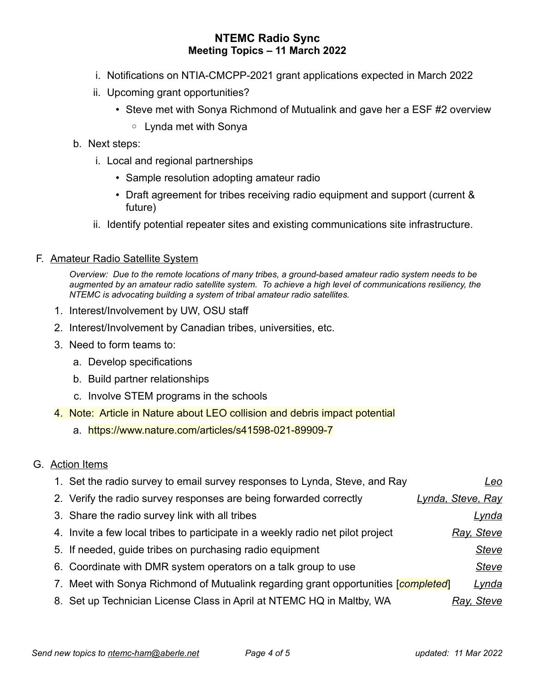- i. Notifications on NTIA-CMCPP-2021 grant applications expected in March 2022
- ii. Upcoming grant opportunities?
	- Steve met with Sonya Richmond of Mutualink and gave her a ESF #2 overview
		- Lynda met with Sonya
- b. Next steps:
	- i. Local and regional partnerships
		- Sample resolution adopting amateur radio
		- Draft agreement for tribes receiving radio equipment and support (current & future)
	- ii. Identify potential repeater sites and existing communications site infrastructure.

## F. Amateur Radio Satellite System

*Overview: Due to the remote locations of many tribes, a ground-based amateur radio system needs to be augmented by an amateur radio satellite system. To achieve a high level of communications resiliency, the NTEMC is advocating building a system of tribal amateur radio satellites.* 

- 1. Interest/Involvement by UW, OSU staff
- 2. Interest/Involvement by Canadian tribes, universities, etc.
- 3. Need to form teams to:
	- a. Develop specifications
	- b. Build partner relationships
	- c. Involve STEM programs in the schools
- 4. Note: Article in Nature about LEO collision and debris impact potential
	- a. https://www.nature.com/articles/s41598-021-89909-7

## G. Action Items

| 1. Set the radio survey to email survey responses to Lynda, Steve, and Ray              | <u>Leo</u>        |
|-----------------------------------------------------------------------------------------|-------------------|
| 2. Verify the radio survey responses are being forwarded correctly                      | Lynda, Steve, Ray |
| 3. Share the radio survey link with all tribes                                          | <u>Lynda</u>      |
| 4. Invite a few local tribes to participate in a weekly radio net pilot project         | Ray, Steve        |
| 5. If needed, guide tribes on purchasing radio equipment                                | <b>Steve</b>      |
| 6. Coordinate with DMR system operators on a talk group to use                          | <b>Steve</b>      |
| 7. Meet with Sonya Richmond of Mutualink regarding grant opportunities <i>completed</i> | <u>Lynda</u>      |
| 8. Set up Technician License Class in April at NTEMC HQ in Maltby, WA                   | Ray, Steve        |